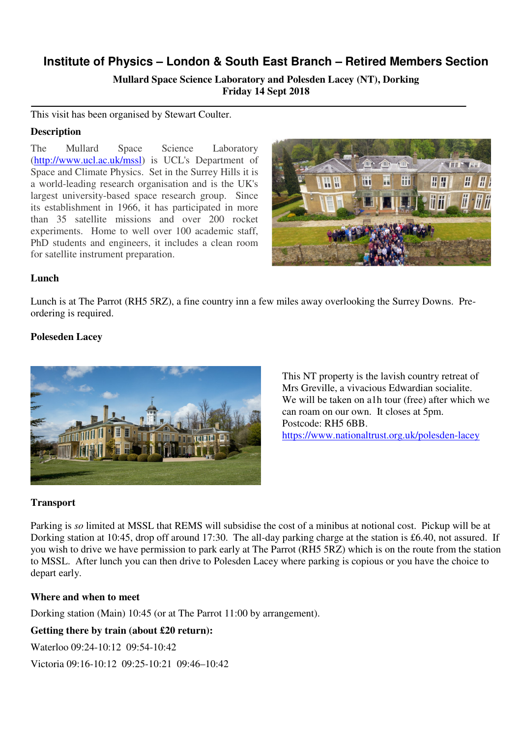# **Institute of Physics – London & South East Branch – Retired Members Section**

**Mullard Space Science Laboratory and Polesden Lacey (NT), Dorking Friday 14 Sept 2018** 

This visit has been organised by Stewart Coulter.

## **Description**

The Mullard Space Science Laboratory (http://www.ucl.ac.uk/mssl) is UCL's Department of Space and Climate Physics. Set in the Surrey Hills it is a world-leading research organisation and is the UK's largest university-based space research group. Since its establishment in 1966, it has participated in more than 35 satellite missions and over 200 rocket experiments. Home to well over 100 academic staff, PhD students and engineers, it includes a clean room for satellite instrument preparation.



# **Lunch**

Lunch is at The Parrot (RH5 5RZ), a fine country inn a few miles away overlooking the Surrey Downs. Preordering is required.

## **Poleseden Lacey**



This NT property is the lavish country retreat of Mrs Greville, a vivacious Edwardian socialite. We will be taken on a1h tour (free) after which we can roam on our own. It closes at 5pm. Postcode: RH5 6BB. https://www.nationaltrust.org.uk/polesden-lacey

#### **Transport**

Parking is *so* limited at MSSL that REMS will subsidise the cost of a minibus at notional cost. Pickup will be at Dorking station at 10:45, drop off around 17:30. The all-day parking charge at the station is £6.40, not assured. If you wish to drive we have permission to park early at The Parrot (RH5 5RZ) which is on the route from the station to MSSL. After lunch you can then drive to Polesden Lacey where parking is copious or you have the choice to depart early.

#### **Where and when to meet**

Dorking station (Main) 10:45 (or at The Parrot 11:00 by arrangement).

# **Getting there by train (about £20 return):**

Waterloo 09:24-10:12 09:54-10:42

Victoria 09:16-10:12 09:25-10:21 09:46–10:42